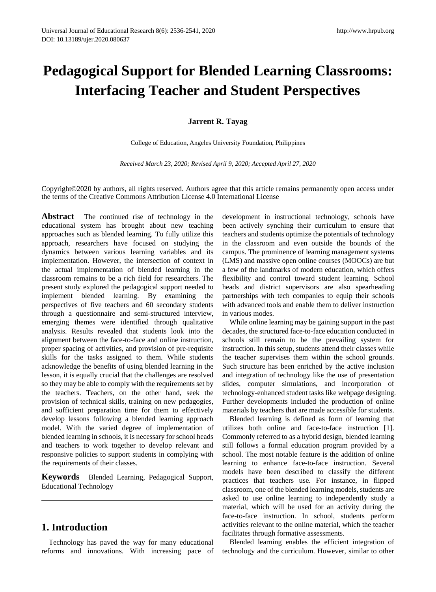# **Pedagogical Support for Blended Learning Classrooms: Interfacing Teacher and Student Perspectives**

**Jarrent R. Tayag**

College of Education, Angeles University Foundation, Philippines

*Received March 23, 2020; Revised April 9, 2020; Accepted April 27, 2020*

Copyright©2020 by authors, all rights reserved. Authors agree that this article remains permanently open access under the terms of the Creative Commons Attribution License 4.0 International License

**Abstract** The continued rise of technology in the educational system has brought about new teaching approaches such as blended learning. To fully utilize this approach, researchers have focused on studying the dynamics between various learning variables and its implementation. However, the intersection of context in the actual implementation of blended learning in the classroom remains to be a rich field for researchers. The present study explored the pedagogical support needed to implement blended learning. By examining the perspectives of five teachers and 60 secondary students through a questionnaire and semi-structured interview, emerging themes were identified through qualitative analysis. Results revealed that students look into the alignment between the face-to-face and online instruction, proper spacing of activities, and provision of pre-requisite skills for the tasks assigned to them. While students acknowledge the benefits of using blended learning in the lesson, it is equally crucial that the challenges are resolved so they may be able to comply with the requirements set by the teachers. Teachers, on the other hand, seek the provision of technical skills, training on new pedagogies, and sufficient preparation time for them to effectively develop lessons following a blended learning approach model. With the varied degree of implementation of blended learning in schools, it is necessary for school heads and teachers to work together to develop relevant and responsive policies to support students in complying with the requirements of their classes.

**Keywords** Blended Learning, Pedagogical Support, Educational Technology

# **1. Introduction**

Technology has paved the way for many educational reforms and innovations. With increasing pace of development in instructional technology, schools have been actively synching their curriculum to ensure that teachers and students optimize the potentials of technology in the classroom and even outside the bounds of the campus. The prominence of learning management systems (LMS) and massive open online courses (MOOCs) are but a few of the landmarks of modern education, which offers flexibility and control toward student learning. School heads and district supervisors are also spearheading partnerships with tech companies to equip their schools with advanced tools and enable them to deliver instruction in various modes.

While online learning may be gaining support in the past decades, the structured face-to-face education conducted in schools still remain to be the prevailing system for instruction. In this setup, students attend their classes while the teacher supervises them within the school grounds. Such structure has been enriched by the active inclusion and integration of technology like the use of presentation slides, computer simulations, and incorporation of technology-enhanced student tasks like webpage designing. Further developments included the production of online materials by teachers that are made accessible for students.

Blended learning is defined as form of learning that utilizes both online and face-to-face instruction [1]. Commonly referred to as a hybrid design, blended learning still follows a formal education program provided by a school. The most notable feature is the addition of online learning to enhance face-to-face instruction. Several models have been described to classify the different practices that teachers use. For instance, in flipped classroom, one of the blended learning models, students are asked to use online learning to independently study a material, which will be used for an activity during the face-to-face instruction. In school, students perform activities relevant to the online material, which the teacher facilitates through formative assessments.

Blended learning enables the efficient integration of technology and the curriculum. However, similar to other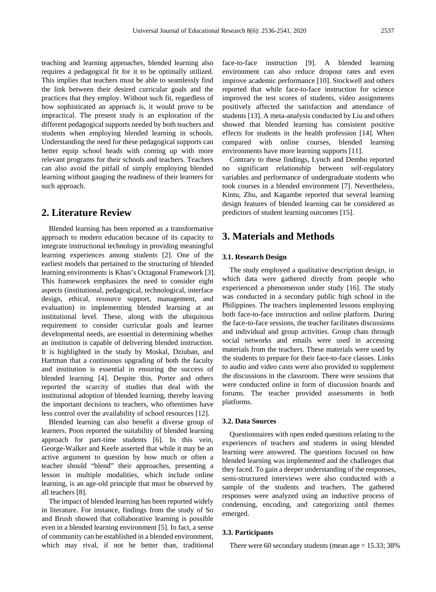teaching and learning approaches, blended learning also requires a pedagogical fit for it to be optimally utilized. This implies that teachers must be able to seamlessly find the link between their desired curricular goals and the practices that they employ. Without such fit, regardless of how sophisticated an approach is, it would prove to be impractical. The present study is an exploration of the different pedagogical supports needed by both teachers and students when employing blended learning in schools. Understanding the need for these pedagogical supports can better equip school heads with coming up with more relevant programs for their schools and teachers. Teachers can also avoid the pitfall of simply employing blended learning without gauging the readiness of their learners for such approach.

# **2. Literature Review**

Blended learning has been reported as a transformative approach to modern education because of its capacity to integrate instructional technology in providing meaningful learning experiences among students [2]. One of the earliest models that pertained to the structuring of blended learning environments is Khan's Octagonal Framework [3]. This framework emphasizes the need to consider eight aspects (institutional, pedagogical, technological, interface design, ethical, resource support, management, and evaluation) in implementing blended learning at an institutional level. These, along with the ubiquitous requirement to consider curricular goals and learner developmental needs, are essential in determining whether an institution is capable of delivering blended instruction. It is highlighted in the study by Moskal, Dziuban, and Hartman that a continuous upgrading of both the faculty and institution is essential in ensuring the success of blended learning [4]. Despite this, Porter and others reported the scarcity of studies that deal with the institutional adoption of blended learning, thereby leaving the important decisions to teachers, who oftentimes have less control over the availability of school resources [12].

Blended learning can also benefit a diverse group of learners. Poon reported the suitability of blended learning approach for part-time students [6]. In this vein, George-Walker and Keefe asserted that while it may be an active argument to question by how much or often a teacher should "blend" their approaches, presenting a lesson in multiple modalities, which include online learning, is an age-old principle that must be observed by all teachers [8].

The impact of blended learning has been reported widely in literature. For instance, findings from the study of So and Brush showed that collaborative learning is possible even in a blended learning environment [5]. In fact, a sense of community can be established in a blended environment, which may rival, if not be better than, traditional

face-to-face instruction [9]. A blended learning environment can also reduce dropout rates and even improve academic performance [10]. Stockwell and others reported that while face-to-face instruction for science improved the test scores of students, video assignments positively affected the satisfaction and attendance of students [13]. A meta-analysis conducted by Liu and others showed that blended learning has consistent positive effects for students in the health profession [14]. When compared with online courses, blended learning environments have more learning supports [11].

Contrary to these findings, Lynch and Dembo reported no significant relationship between self-regulatory variables and performance of undergraduate students who took courses in a blended environment [7]. Nevertheless, Kintu, Zhu, and Kagambe reported that several learning design features of blended learning can be considered as predictors of student learning outcomes [15].

# **3. Materials and Methods**

### **3.1. Research Design**

The study employed a qualitative description design, in which data were gathered directly from people who experienced a phenomenon under study [16]. The study was conducted in a secondary public high school in the Philippines. The teachers implemented lessons employing both face-to-face instruction and online platform. During the face-to-face sessions, the teacher facilitates discussions and individual and group activities. Group chats through social networks and emails were used in accessing materials from the teachers. These materials were used by the students to prepare for their face-to-face classes. Links to audio and video casts were also provided to supplement the discussions in the classroom. There were sessions that were conducted online in form of discussion boards and forums. The teacher provided assessments in both platforms.

## **3.2. Data Sources**

Questionnaires with open ended questions relating to the experiences of teachers and students in using blended learning were answered. The questions focused on how blended learning was implemented and the challenges that they faced. To gain a deeper understanding of the responses, semi-structured interviews were also conducted with a sample of the students and teachers. The gathered responses were analyzed using an inductive process of condensing, encoding, and categorizing until themes emerged.

#### **3.3. Participants**

There were 60 secondary students (mean age  $= 15.33$ ; 38%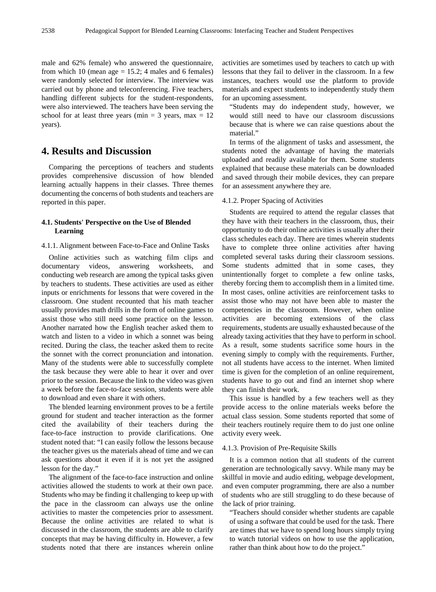male and 62% female) who answered the questionnaire, from which 10 (mean age  $= 15.2$ ; 4 males and 6 females) were randomly selected for interview. The interview was carried out by phone and teleconferencing. Five teachers, handling different subjects for the student-respondents, were also interviewed. The teachers have been serving the school for at least three years (min = 3 years, max =  $12$ ) years).

# **4. Results and Discussion**

Comparing the perceptions of teachers and students provides comprehensive discussion of how blended learning actually happens in their classes. Three themes documenting the concerns of both students and teachers are reported in this paper.

## **4.1. Students' Perspective on the Use of Blended Learning**

4.1.1. Alignment between Face-to-Face and Online Tasks

Online activities such as watching film clips and documentary videos, answering worksheets, and conducting web research are among the typical tasks given by teachers to students. These activities are used as either inputs or enrichments for lessons that were covered in the classroom. One student recounted that his math teacher usually provides math drills in the form of online games to assist those who still need some practice on the lesson. Another narrated how the English teacher asked them to watch and listen to a video in which a sonnet was being recited. During the class, the teacher asked them to recite the sonnet with the correct pronunciation and intonation. Many of the students were able to successfully complete the task because they were able to hear it over and over prior to the session. Because the link to the video was given a week before the face-to-face session, students were able to download and even share it with others.

The blended learning environment proves to be a fertile ground for student and teacher interaction as the former cited the availability of their teachers during the face-to-face instruction to provide clarifications. One student noted that: "I can easily follow the lessons because the teacher gives us the materials ahead of time and we can ask questions about it even if it is not yet the assigned lesson for the day."

The alignment of the face-to-face instruction and online activities allowed the students to work at their own pace. Students who may be finding it challenging to keep up with the pace in the classroom can always use the online activities to master the competencies prior to assessment. Because the online activities are related to what is discussed in the classroom, the students are able to clarify concepts that may be having difficulty in. However, a few students noted that there are instances wherein online activities are sometimes used by teachers to catch up with lessons that they fail to deliver in the classroom. In a few instances, teachers would use the platform to provide materials and expect students to independently study them for an upcoming assessment.

"Students may do independent study, however, we would still need to have our classroom discussions because that is where we can raise questions about the material."

In terms of the alignment of tasks and assessment, the students noted the advantage of having the materials uploaded and readily available for them. Some students explained that because these materials can be downloaded and saved through their mobile devices, they can prepare for an assessment anywhere they are.

#### 4.1.2. Proper Spacing of Activities

Students are required to attend the regular classes that they have with their teachers in the classroom, thus, their opportunity to do their online activities is usually after their class schedules each day. There are times wherein students have to complete three online activities after having completed several tasks during their classroom sessions. Some students admitted that in some cases, they unintentionally forget to complete a few online tasks, thereby forcing them to accomplish them in a limited time. In most cases, online activities are reinforcement tasks to assist those who may not have been able to master the competencies in the classroom. However, when online activities are becoming extensions of the class requirements, students are usually exhausted because of the already taxing activities that they have to perform in school. As a result, some students sacrifice some hours in the evening simply to comply with the requirements. Further, not all students have access to the internet. When limited time is given for the completion of an online requirement, students have to go out and find an internet shop where they can finish their work.

This issue is handled by a few teachers well as they provide access to the online materials weeks before the actual class session. Some students reported that some of their teachers routinely require them to do just one online activity every week.

#### 4.1.3. Provision of Pre-Requisite Skills

It is a common notion that all students of the current generation are technologically savvy. While many may be skillful in movie and audio editing, webpage development, and even computer programming, there are also a number of students who are still struggling to do these because of the lack of prior training.

"Teachers should consider whether students are capable of using a software that could be used for the task. There are times that we have to spend long hours simply trying to watch tutorial videos on how to use the application, rather than think about how to do the project."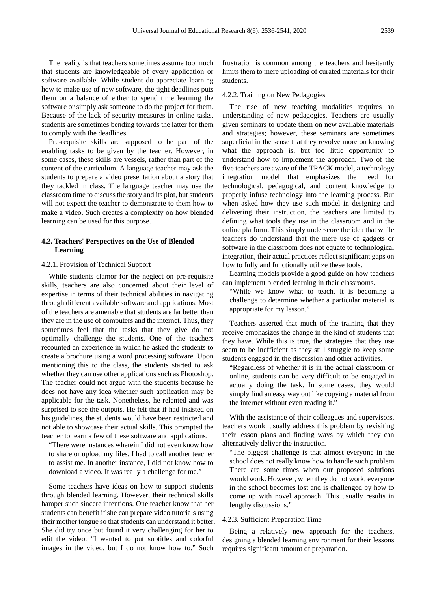The reality is that teachers sometimes assume too much that students are knowledgeable of every application or software available. While student do appreciate learning how to make use of new software, the tight deadlines puts them on a balance of either to spend time learning the software or simply ask someone to do the project for them. Because of the lack of security measures in online tasks, students are sometimes bending towards the latter for them to comply with the deadlines.

Pre-requisite skills are supposed to be part of the enabling tasks to be given by the teacher. However, in some cases, these skills are vessels, rather than part of the content of the curriculum. A language teacher may ask the students to prepare a video presentation about a story that they tackled in class. The language teacher may use the classroom time to discuss the story and its plot, but students will not expect the teacher to demonstrate to them how to make a video. Such creates a complexity on how blended learning can be used for this purpose.

## **4.2. Teachers' Perspectives on the Use of Blended Learning**

#### 4.2.1. Provision of Technical Support

While students clamor for the neglect on pre-requisite skills, teachers are also concerned about their level of expertise in terms of their technical abilities in navigating through different available software and applications. Most of the teachers are amenable that students are far better than they are in the use of computers and the internet. Thus, they sometimes feel that the tasks that they give do not optimally challenge the students. One of the teachers recounted an experience in which he asked the students to create a brochure using a word processing software. Upon mentioning this to the class, the students started to ask whether they can use other applications such as Photoshop. The teacher could not argue with the students because he does not have any idea whether such application may be applicable for the task. Nonetheless, he relented and was surprised to see the outputs. He felt that if had insisted on his guidelines, the students would have been restricted and not able to showcase their actual skills. This prompted the teacher to learn a few of these software and applications.

"There were instances wherein I did not even know how to share or upload my files. I had to call another teacher to assist me. In another instance, I did not know how to download a video. It was really a challenge for me."

Some teachers have ideas on how to support students through blended learning. However, their technical skills hamper such sincere intentions. One teacher know that her students can benefit if she can prepare video tutorials using their mother tongue so that students can understand it better. She did try once but found it very challenging for her to edit the video. "I wanted to put subtitles and colorful images in the video, but I do not know how to." Such

frustration is common among the teachers and hesitantly limits them to mere uploading of curated materials for their students.

#### 4.2.2. Training on New Pedagogies

The rise of new teaching modalities requires an understanding of new pedagogies. Teachers are usually given seminars to update them on new available materials and strategies; however, these seminars are sometimes superficial in the sense that they revolve more on knowing what the approach is, but too little opportunity to understand how to implement the approach. Two of the five teachers are aware of the TPACK model, a technology integration model that emphasizes the need for technological, pedagogical, and content knowledge to properly infuse technology into the learning process. But when asked how they use such model in designing and delivering their instruction, the teachers are limited to defining what tools they use in the classroom and in the online platform. This simply underscore the idea that while teachers do understand that the mere use of gadgets or software in the classroom does not equate to technological integration, their actual practices reflect significant gaps on how to fully and functionally utilize these tools.

Learning models provide a good guide on how teachers can implement blended learning in their classrooms.

"While we know what to teach, it is becoming a challenge to determine whether a particular material is appropriate for my lesson."

Teachers asserted that much of the training that they receive emphasizes the change in the kind of students that they have. While this is true, the strategies that they use seem to be inefficient as they still struggle to keep some students engaged in the discussion and other activities.

"Regardless of whether it is in the actual classroom or online, students can be very difficult to be engaged in actually doing the task. In some cases, they would simply find an easy way out like copying a material from the internet without even reading it."

With the assistance of their colleagues and supervisors, teachers would usually address this problem by revisiting their lesson plans and finding ways by which they can alternatively deliver the instruction.

"The biggest challenge is that almost everyone in the school does not really know how to handle such problem. There are some times when our proposed solutions would work. However, when they do not work, everyone in the school becomes lost and is challenged by how to come up with novel approach. This usually results in lengthy discussions."

#### 4.2.3. Sufficient Preparation Time

Being a relatively new approach for the teachers, designing a blended learning environment for their lessons requires significant amount of preparation.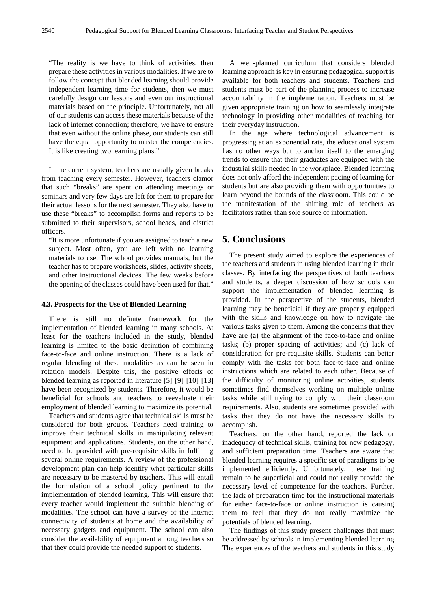"The reality is we have to think of activities, then prepare these activities in various modalities. If we are to follow the concept that blended learning should provide independent learning time for students, then we must carefully design our lessons and even our instructional materials based on the principle. Unfortunately, not all of our students can access these materials because of the lack of internet connection; therefore, we have to ensure that even without the online phase, our students can still have the equal opportunity to master the competencies. It is like creating two learning plans."

In the current system, teachers are usually given breaks from teaching every semester. However, teachers clamor that such "breaks" are spent on attending meetings or seminars and very few days are left for them to prepare for their actual lessons for the next semester. They also have to use these "breaks" to accomplish forms and reports to be submitted to their supervisors, school heads, and district officers.

"It is more unfortunate if you are assigned to teach a new subject. Most often, you are left with no learning materials to use. The school provides manuals, but the teacher has to prepare worksheets, slides, activity sheets, and other instructional devices. The few weeks before the opening of the classes could have been used for that."

#### **4.3. Prospects for the Use of Blended Learning**

There is still no definite framework for the implementation of blended learning in many schools. At least for the teachers included in the study, blended learning is limited to the basic definition of combining face-to-face and online instruction. There is a lack of regular blending of these modalities as can be seen in rotation models. Despite this, the positive effects of blended learning as reported in literature [5] [9] [10] [13] have been recognized by students. Therefore, it would be beneficial for schools and teachers to reevaluate their employment of blended learning to maximize its potential.

Teachers and students agree that technical skills must be considered for both groups. Teachers need training to improve their technical skills in manipulating relevant equipment and applications. Students, on the other hand, need to be provided with pre-requisite skills in fulfilling several online requirements. A review of the professional development plan can help identify what particular skills are necessary to be mastered by teachers. This will entail the formulation of a school policy pertinent to the implementation of blended learning. This will ensure that every teacher would implement the suitable blending of modalities. The school can have a survey of the internet connectivity of students at home and the availability of necessary gadgets and equipment. The school can also consider the availability of equipment among teachers so that they could provide the needed support to students.

A well-planned curriculum that considers blended learning approach is key in ensuring pedagogical support is available for both teachers and students. Teachers and students must be part of the planning process to increase accountability in the implementation. Teachers must be given appropriate training on how to seamlessly integrate technology in providing other modalities of teaching for their everyday instruction.

In the age where technological advancement is progressing at an exponential rate, the educational system has no other ways but to anchor itself to the emerging trends to ensure that their graduates are equipped with the industrial skills needed in the workplace. Blended learning does not only afford the independent pacing of learning for students but are also providing them with opportunities to learn beyond the bounds of the classroom. This could be the manifestation of the shifting role of teachers as facilitators rather than sole source of information.

# **5. Conclusions**

The present study aimed to explore the experiences of the teachers and students in using blended learning in their classes. By interfacing the perspectives of both teachers and students, a deeper discussion of how schools can support the implementation of blended learning is provided. In the perspective of the students, blended learning may be beneficial if they are properly equipped with the skills and knowledge on how to navigate the various tasks given to them. Among the concerns that they have are (a) the alignment of the face-to-face and online tasks; (b) proper spacing of activities; and (c) lack of consideration for pre-requisite skills. Students can better comply with the tasks for both face-to-face and online instructions which are related to each other. Because of the difficulty of monitoring online activities, students sometimes find themselves working on multiple online tasks while still trying to comply with their classroom requirements. Also, students are sometimes provided with tasks that they do not have the necessary skills to accomplish.

Teachers, on the other hand, reported the lack or inadequacy of technical skills, training for new pedagogy, and sufficient preparation time. Teachers are aware that blended learning requires a specific set of paradigms to be implemented efficiently. Unfortunately, these training remain to be superficial and could not really provide the necessary level of competence for the teachers. Further, the lack of preparation time for the instructional materials for either face-to-face or online instruction is causing them to feel that they do not really maximize the potentials of blended learning.

The findings of this study present challenges that must be addressed by schools in implementing blended learning. The experiences of the teachers and students in this study